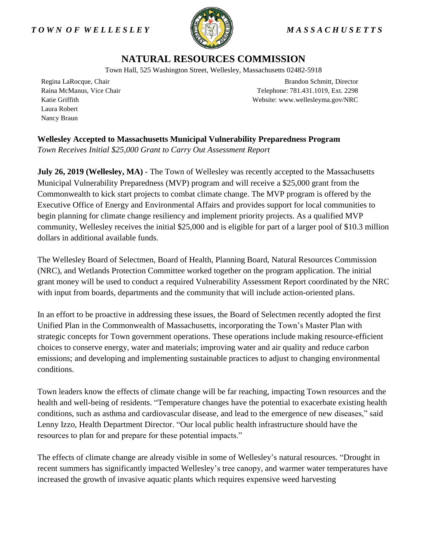## *T O W N O F W E L L E S L E Y M A S S A C H U S E T T S*



## **NATURAL RESOURCES COMMISSION**

Town Hall, 525 Washington Street, Wellesley, Massachusetts 02482-5918

Regina LaRocque, Chair Raina McManus, Vice Chair Katie Griffith Laura Robert Nancy Braun

Brandon Schmitt, Director Telephone: 781.431.1019, Ext. 2298 Website: www.wellesleyma.gov/NRC

**Wellesley Accepted to Massachusetts Municipal Vulnerability Preparedness Program** *Town Receives Initial \$25,000 Grant to Carry Out Assessment Report* 

**July 26, 2019 (Wellesley, MA)** - The Town of Wellesley was recently accepted to the Massachusetts Municipal Vulnerability Preparedness (MVP) program and will receive a \$25,000 grant from the Commonwealth to kick start projects to combat climate change. The MVP program is offered by the Executive Office of Energy and Environmental Affairs and provides support for local communities to begin planning for climate change resiliency and implement priority projects. As a qualified MVP community, Wellesley receives the initial \$25,000 and is eligible for part of a larger pool of \$10.3 million dollars in additional available funds.

The Wellesley Board of Selectmen, Board of Health, Planning Board, Natural Resources Commission (NRC), and Wetlands Protection Committee worked together on the program application. The initial grant money will be used to conduct a required Vulnerability Assessment Report coordinated by the NRC with input from boards, departments and the community that will include action-oriented plans.

In an effort to be proactive in addressing these issues, the Board of Selectmen recently adopted the first Unified Plan in the Commonwealth of Massachusetts, incorporating the Town's Master Plan with strategic concepts for Town government operations. These operations include making resource-efficient choices to conserve energy, water and materials; improving water and air quality and reduce carbon emissions; and developing and implementing sustainable practices to adjust to changing environmental conditions.

Town leaders know the effects of climate change will be far reaching, impacting Town resources and the health and well-being of residents. "Temperature changes have the potential to exacerbate existing health conditions, such as asthma and cardiovascular disease, and lead to the emergence of new diseases," said Lenny Izzo, Health Department Director. "Our local public health infrastructure should have the resources to plan for and prepare for these potential impacts."

The effects of climate change are already visible in some of Wellesley's natural resources. "Drought in recent summers has significantly impacted Wellesley's tree canopy, and warmer water temperatures have increased the growth of invasive aquatic plants which requires expensive weed harvesting